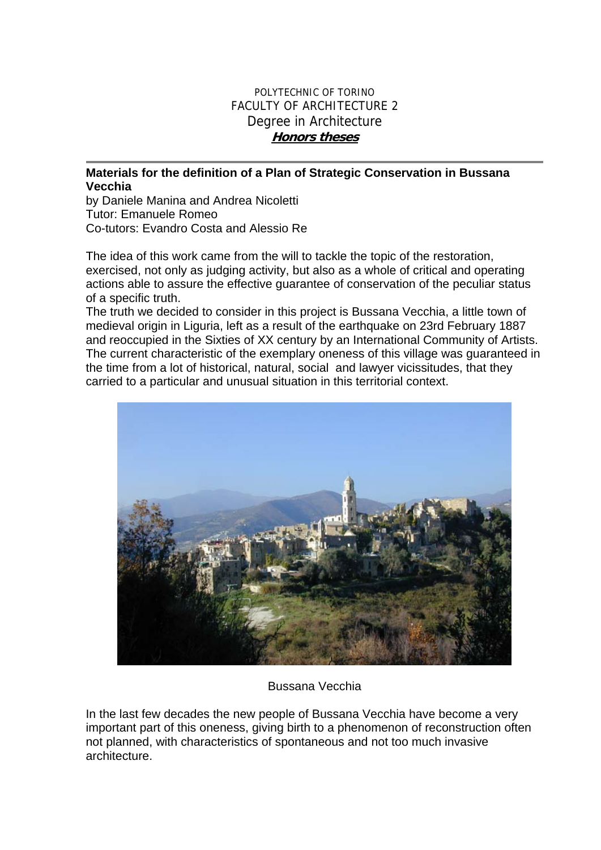## POLYTECHNIC OF TORINO FACULTY OF ARCHITECTURE 2 Degree in Architecture **Honors theses**

## **Materials for the definition of a Plan of Strategic Conservation in Bussana Vecchia**

by Daniele Manina and Andrea Nicoletti Tutor: Emanuele Romeo Co-tutors: Evandro Costa and Alessio Re

The idea of this work came from the will to tackle the topic of the restoration, exercised, not only as judging activity, but also as a whole of critical and operating actions able to assure the effective guarantee of conservation of the peculiar status of a specific truth.

The truth we decided to consider in this project is Bussana Vecchia, a little town of medieval origin in Liguria, left as a result of the earthquake on 23rd February 1887 and reoccupied in the Sixties of XX century by an International Community of Artists. The current characteristic of the exemplary oneness of this village was guaranteed in the time from a lot of historical, natural, social and lawyer vicissitudes, that they carried to a particular and unusual situation in this territorial context.



Bussana Vecchia

In the last few decades the new people of Bussana Vecchia have become a very important part of this oneness, giving birth to a phenomenon of reconstruction often not planned, with characteristics of spontaneous and not too much invasive architecture.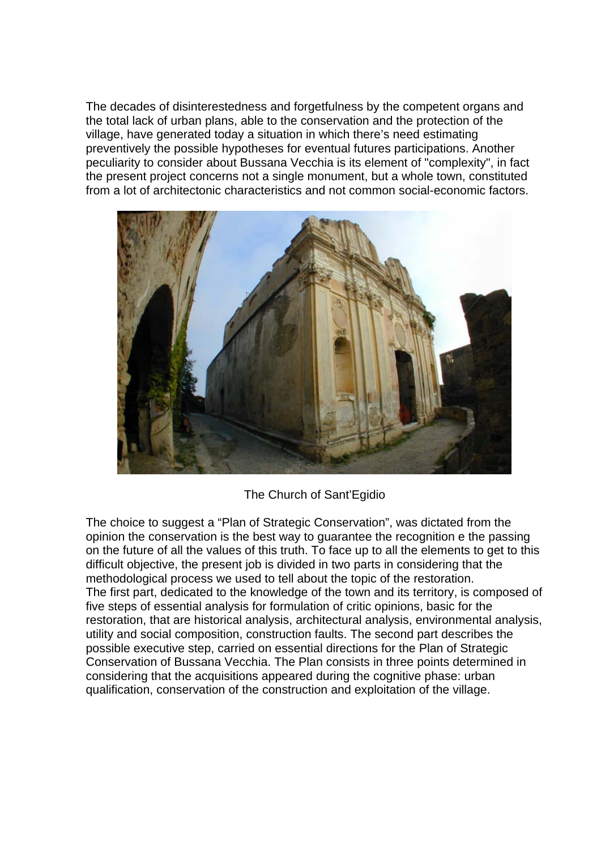The decades of disinterestedness and forgetfulness by the competent organs and the total lack of urban plans, able to the conservation and the protection of the village, have generated today a situation in which there's need estimating preventively the possible hypotheses for eventual futures participations. Another peculiarity to consider about Bussana Vecchia is its element of "complexity", in fact the present project concerns not a single monument, but a whole town, constituted from a lot of architectonic characteristics and not common social-economic factors.



The Church of Sant'Egidio

The choice to suggest a "Plan of Strategic Conservation", was dictated from the opinion the conservation is the best way to guarantee the recognition e the passing on the future of all the values of this truth. To face up to all the elements to get to this difficult objective, the present job is divided in two parts in considering that the methodological process we used to tell about the topic of the restoration. The first part, dedicated to the knowledge of the town and its territory, is composed of five steps of essential analysis for formulation of critic opinions, basic for the restoration, that are historical analysis, architectural analysis, environmental analysis, utility and social composition, construction faults. The second part describes the possible executive step, carried on essential directions for the Plan of Strategic Conservation of Bussana Vecchia. The Plan consists in three points determined in considering that the acquisitions appeared during the cognitive phase: urban qualification, conservation of the construction and exploitation of the village.